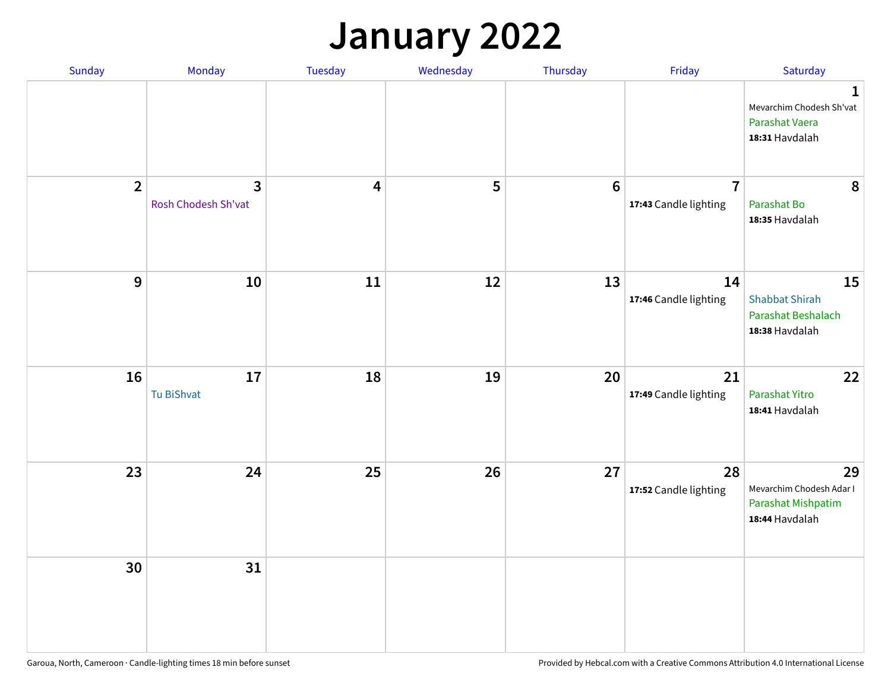## **January 2022**

| Sunday         | Monday                   | Tuesday                 | Wednesday | Thursday        | Friday                                  | Saturday                                                                     |
|----------------|--------------------------|-------------------------|-----------|-----------------|-----------------------------------------|------------------------------------------------------------------------------|
|                |                          |                         |           |                 |                                         | $\mathbf{1}$<br>Mevarchim Chodesh Sh'vat<br>Parashat Vaera<br>18:31 Havdalah |
| $\overline{2}$ | 3<br>Rosh Chodesh Sh'vat | $\overline{\mathbf{4}}$ | 5         | $6\phantom{1}6$ | $\overline{7}$<br>17:43 Candle lighting | 8<br>Parashat Bo<br>18:35 Havdalah                                           |
| $\mathbf 9$    | 10                       | ${\bf 11}$              | 12        | 13              | 14<br>17:46 Candle lighting             | 15<br><b>Shabbat Shirah</b><br>Parashat Beshalach<br>18:38 Havdalah          |
| 16             | 17<br>Tu BiShvat         | 18                      | 19        | 20              | 21<br>17:49 Candle lighting             | 22<br>Parashat Yitro<br>18:41 Havdalah                                       |
| 23             | 24                       | 25                      | 26        | 27              | 28<br>17:52 Candle lighting             | 29<br>Mevarchim Chodesh Adar I<br>Parashat Mishpatim<br>18:44 Havdalah       |
| 30             | 31                       |                         |           |                 |                                         |                                                                              |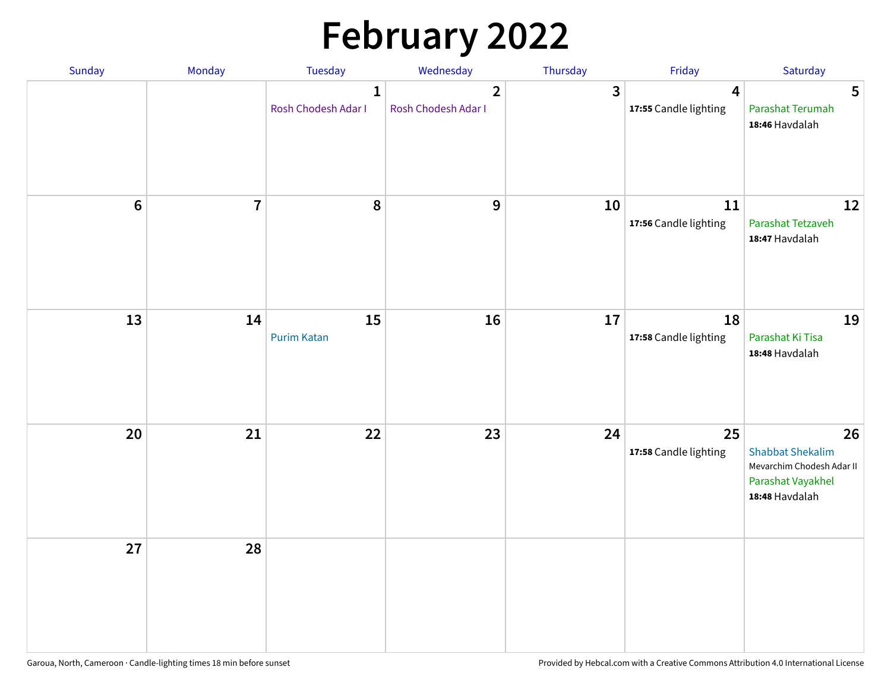# **February 2022**

| Sunday | Monday                  | <b>Tuesday</b>                      | Wednesday                             | Thursday | Friday                                           | Saturday                                                                                          |
|--------|-------------------------|-------------------------------------|---------------------------------------|----------|--------------------------------------------------|---------------------------------------------------------------------------------------------------|
|        |                         | $\mathbf{1}$<br>Rosh Chodesh Adar I | $\overline{2}$<br>Rosh Chodesh Adar I | 3        | $\overline{\mathbf{4}}$<br>17:55 Candle lighting | 5<br>Parashat Terumah<br>18:46 Havdalah                                                           |
| $6\,$  | $\overline{\mathbf{7}}$ | 8                                   | 9                                     | 10       | 11<br>17:56 Candle lighting                      | 12<br>Parashat Tetzaveh<br>18:47 Havdalah                                                         |
| 13     | 14                      | 15<br><b>Purim Katan</b>            | 16                                    | 17       | 18<br>17:58 Candle lighting                      | 19<br>Parashat Ki Tisa<br>18:48 Havdalah                                                          |
| 20     | 21                      | 22                                  | 23                                    | 24       | 25<br>17:58 Candle lighting                      | 26<br><b>Shabbat Shekalim</b><br>Mevarchim Chodesh Adar II<br>Parashat Vayakhel<br>18:48 Havdalah |
| 27     | 28                      |                                     |                                       |          |                                                  |                                                                                                   |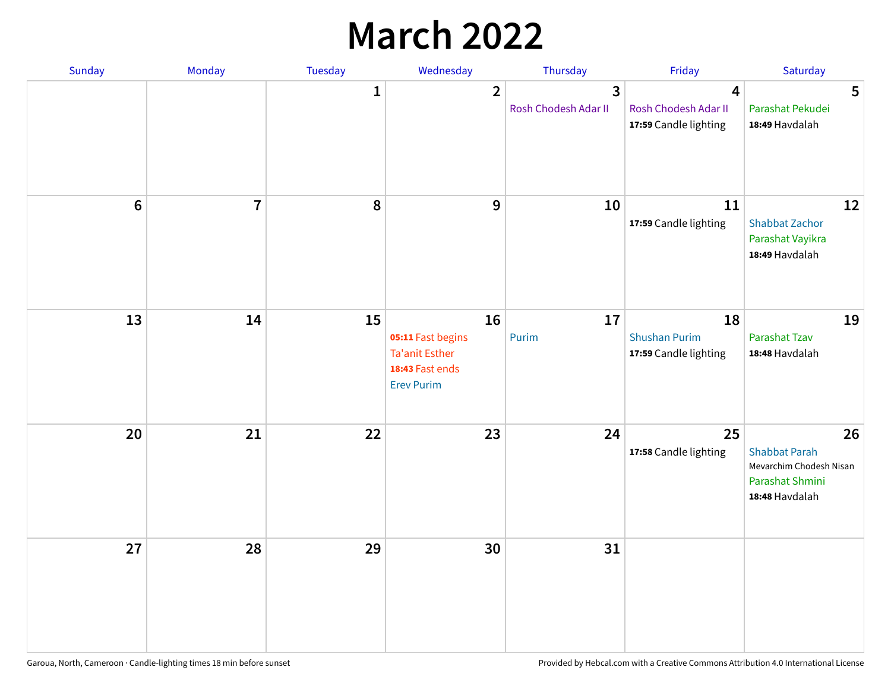## **March 2022**

| Sunday           | Monday         | <b>Tuesday</b> | Wednesday                                                                                | Thursday                  | Friday                                              | Saturday                                                                                   |
|------------------|----------------|----------------|------------------------------------------------------------------------------------------|---------------------------|-----------------------------------------------------|--------------------------------------------------------------------------------------------|
|                  |                | $\mathbf{1}$   | $\overline{2}$                                                                           | 3<br>Rosh Chodesh Adar II | 4<br>Rosh Chodesh Adar II<br>17:59 Candle lighting  | 5<br>Parashat Pekudei<br>18:49 Havdalah                                                    |
| $\boldsymbol{6}$ | $\overline{7}$ | 8              | 9                                                                                        | 10                        | 11<br>17:59 Candle lighting                         | 12<br><b>Shabbat Zachor</b><br>Parashat Vayikra<br>18:49 Havdalah                          |
| 13               | 14             | 15             | 16<br>05:11 Fast begins<br><b>Ta'anit Esther</b><br>18:43 Fast ends<br><b>Erev Purim</b> | 17<br>Purim               | 18<br><b>Shushan Purim</b><br>17:59 Candle lighting | 19<br>Parashat Tzav<br>18:48 Havdalah                                                      |
| 20               | 21             | 22             | 23                                                                                       | 24                        | 25<br>17:58 Candle lighting                         | 26<br><b>Shabbat Parah</b><br>Mevarchim Chodesh Nisan<br>Parashat Shmini<br>18:48 Havdalah |
| 27               | 28             | 29             | 30                                                                                       | 31                        |                                                     |                                                                                            |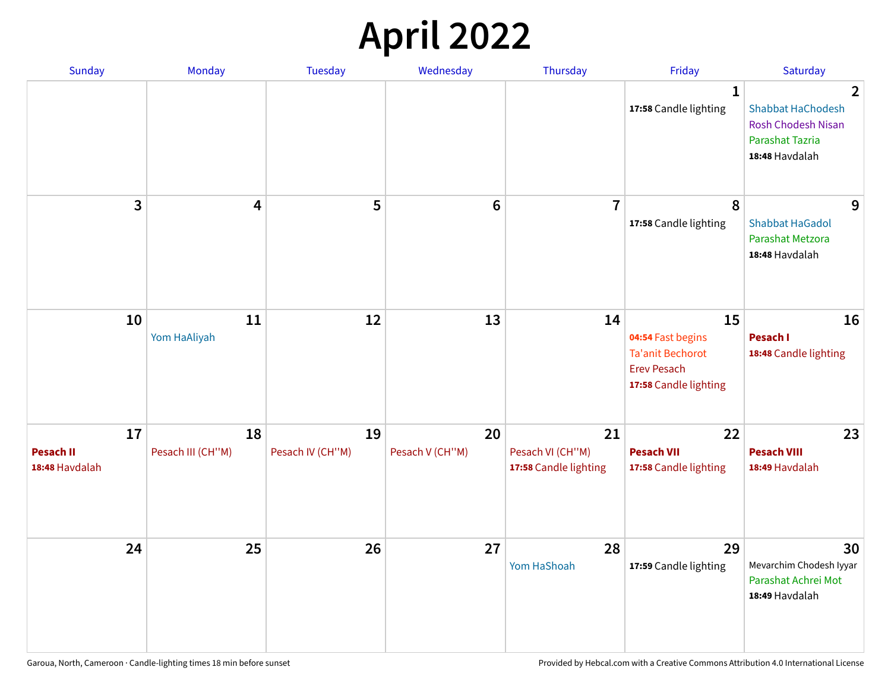## **April 2022**

| Sunday                                   | Monday                  | <b>Tuesday</b>         | Wednesday             | Thursday                                        | Friday                                                                                            | Saturday                                                                                                            |
|------------------------------------------|-------------------------|------------------------|-----------------------|-------------------------------------------------|---------------------------------------------------------------------------------------------------|---------------------------------------------------------------------------------------------------------------------|
|                                          |                         |                        |                       |                                                 | $\mathbf{1}$<br>17:58 Candle lighting                                                             | $\overline{2}$<br><b>Shabbat HaChodesh</b><br><b>Rosh Chodesh Nisan</b><br><b>Parashat Tazria</b><br>18:48 Havdalah |
| 3                                        | $\overline{\mathbf{4}}$ | 5                      | $6\phantom{1}6$       | $\overline{7}$                                  | 8<br>17:58 Candle lighting                                                                        | 9<br><b>Shabbat HaGadol</b><br>Parashat Metzora<br>18:48 Havdalah                                                   |
| 10                                       | 11<br>Yom HaAliyah      | 12                     | 13                    | 14                                              | 15<br>04:54 Fast begins<br><b>Ta'anit Bechorot</b><br><b>Erev Pesach</b><br>17:58 Candle lighting | 16<br>Pesach I<br>18:48 Candle lighting                                                                             |
| 17<br><b>Pesach II</b><br>18:48 Havdalah | 18<br>Pesach III (CH"M) | 19<br>Pesach IV (CH"M) | 20<br>Pesach V (CH"M) | 21<br>Pesach VI (CH"M)<br>17:58 Candle lighting | 22<br><b>Pesach VII</b><br>17:58 Candle lighting                                                  | 23<br><b>Pesach VIII</b><br>18:49 Havdalah                                                                          |
| 24                                       | 25                      | 26                     | 27                    | 28<br>Yom HaShoah                               | 29<br>17:59 Candle lighting                                                                       | 30<br>Mevarchim Chodesh Iyyar<br>Parashat Achrei Mot<br>18:49 Havdalah                                              |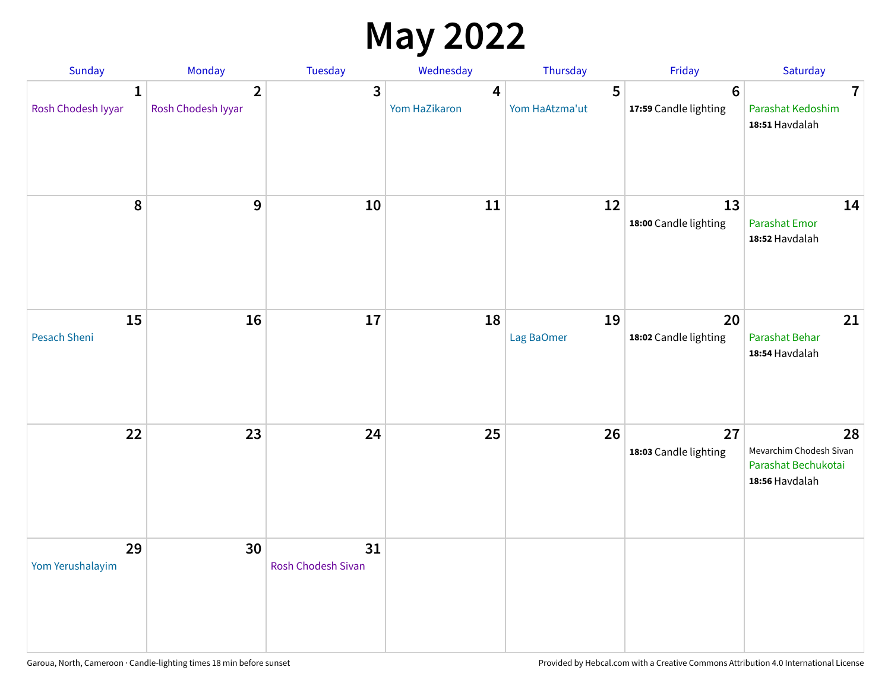## **May 2022**

| Sunday                             | Monday                               | Tuesday                         | Wednesday          | Thursday            | Friday                                   | Saturday                                                               |
|------------------------------------|--------------------------------------|---------------------------------|--------------------|---------------------|------------------------------------------|------------------------------------------------------------------------|
| $\mathbf{1}$<br>Rosh Chodesh Iyyar | $\overline{2}$<br>Rosh Chodesh Iyyar | 3                               | 4<br>Yom HaZikaron | 5<br>Yom HaAtzma'ut | $6\phantom{1}6$<br>17:59 Candle lighting | $\overline{7}$<br>Parashat Kedoshim<br>18:51 Havdalah                  |
| $\pmb{8}$                          | $\mathbf{9}$                         | 10                              | 11                 | 12                  | 13<br>18:00 Candle lighting              | 14<br><b>Parashat Emor</b><br>18:52 Havdalah                           |
| 15<br>Pesach Sheni                 | 16                                   | 17                              | 18                 | 19<br>Lag BaOmer    | 20<br>18:02 Candle lighting              | 21<br>Parashat Behar<br>18:54 Havdalah                                 |
| 22                                 | 23                                   | 24                              | 25                 | 26                  | 27<br>18:03 Candle lighting              | 28<br>Mevarchim Chodesh Sivan<br>Parashat Bechukotai<br>18:56 Havdalah |
| 29<br>Yom Yerushalayim             | 30                                   | 31<br><b>Rosh Chodesh Sivan</b> |                    |                     |                                          |                                                                        |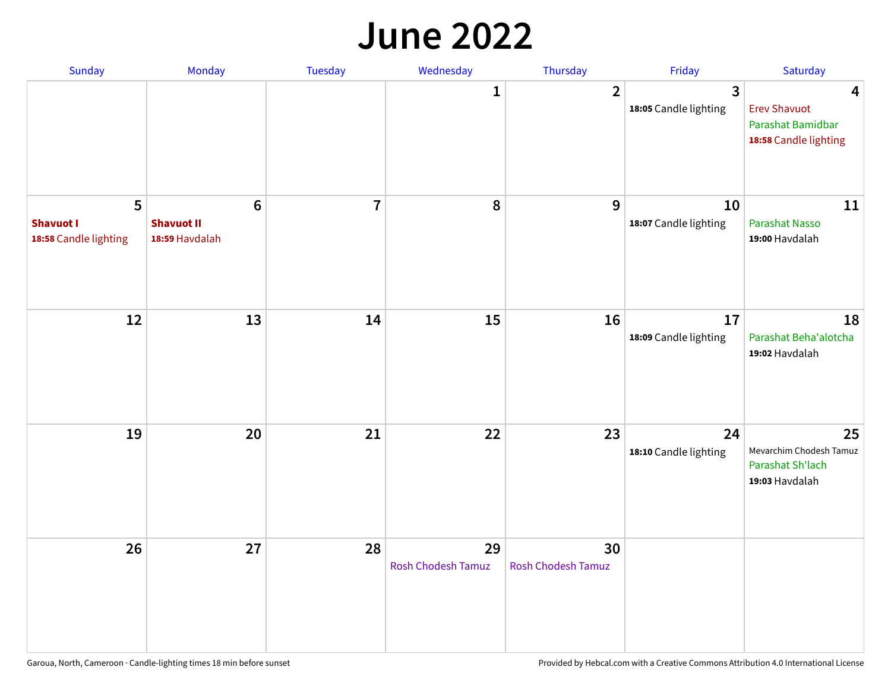#### **June 2022**

| Sunday                                         | Monday                                                | Tuesday        | Wednesday                       | Thursday                        | Friday                      | Saturday                                                               |
|------------------------------------------------|-------------------------------------------------------|----------------|---------------------------------|---------------------------------|-----------------------------|------------------------------------------------------------------------|
|                                                |                                                       |                | 1                               | $\overline{2}$                  | 3<br>18:05 Candle lighting  | 4<br><b>Erev Shavuot</b><br>Parashat Bamidbar<br>18:58 Candle lighting |
| 5<br><b>Shavuot I</b><br>18:58 Candle lighting | $6\phantom{1}$<br><b>Shavuot II</b><br>18:59 Havdalah | $\overline{7}$ | 8                               | 9                               | 10<br>18:07 Candle lighting | 11<br><b>Parashat Nasso</b><br>19:00 Havdalah                          |
| 12                                             | 13                                                    | 14             | 15                              | 16                              | 17<br>18:09 Candle lighting | 18<br>Parashat Beha'alotcha<br>19:02 Havdalah                          |
| 19                                             | 20                                                    | 21             | 22                              | 23                              | 24<br>18:10 Candle lighting | 25<br>Mevarchim Chodesh Tamuz<br>Parashat Sh'lach<br>19:03 Havdalah    |
| 26                                             | 27                                                    | 28             | 29<br><b>Rosh Chodesh Tamuz</b> | 30<br><b>Rosh Chodesh Tamuz</b> |                             |                                                                        |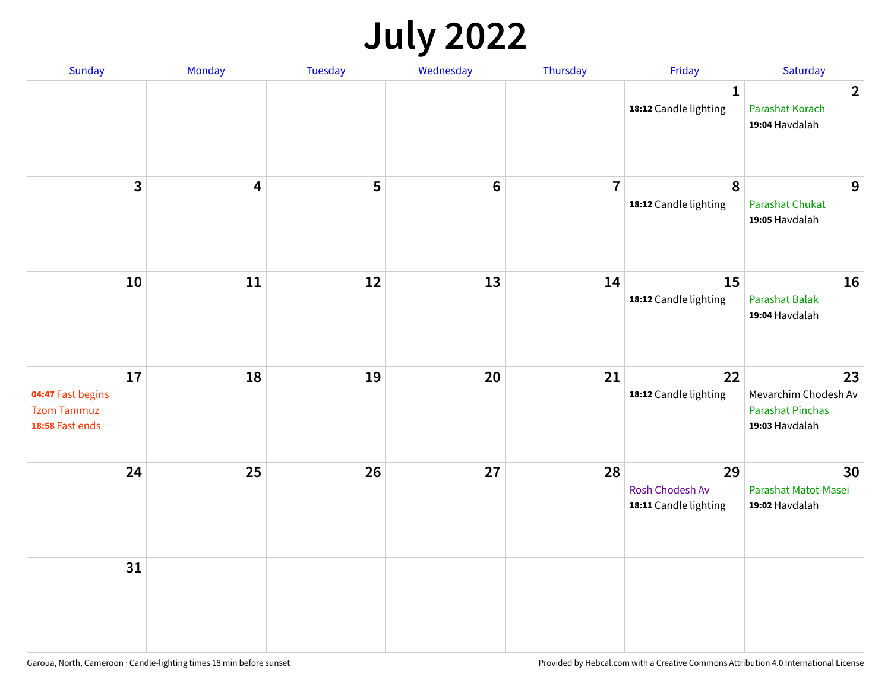## **July 2022**

| Sunday                                                           | Monday | Tuesday | Wednesday | Thursday       | Friday                                         | Saturday                                                                |
|------------------------------------------------------------------|--------|---------|-----------|----------------|------------------------------------------------|-------------------------------------------------------------------------|
|                                                                  |        |         |           |                | $\mathbf{1}$<br>18:12 Candle lighting          | $\overline{2}$<br>Parashat Korach<br>19:04 Havdalah                     |
| $\mathbf{3}$                                                     | 4      | 5       | $\bf 6$   | $\overline{7}$ | 8<br>18:12 Candle lighting                     | 9<br><b>Parashat Chukat</b><br>19:05 Havdalah                           |
| 10                                                               | 11     | 12      | 13        | 14             | 15<br>18:12 Candle lighting                    | 16<br>Parashat Balak<br>19:04 Havdalah                                  |
| 17<br>04:47 Fast begins<br><b>Tzom Tammuz</b><br>18:58 Fast ends | 18     | 19      | 20        | 21             | 22<br>18:12 Candle lighting                    | 23<br>Mevarchim Chodesh Av<br><b>Parashat Pinchas</b><br>19:03 Havdalah |
| 24                                                               | 25     | 26      | 27        | 28             | 29<br>Rosh Chodesh Av<br>18:11 Candle lighting | 30<br>Parashat Matot-Masei<br>19:02 Havdalah                            |
| 31                                                               |        |         |           |                |                                                |                                                                         |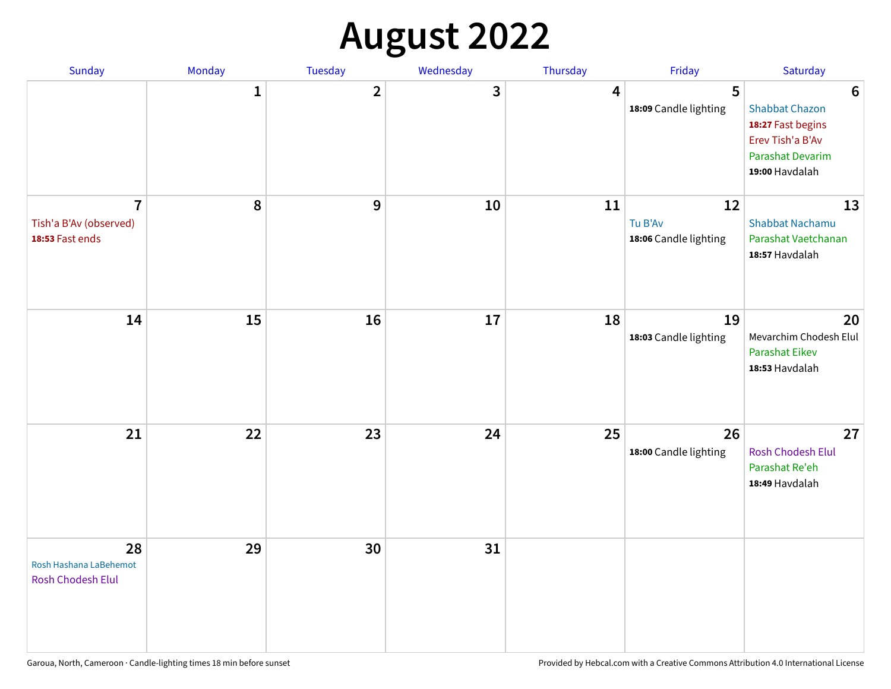## **August 2022**

| Sunday                                                      | Monday       | Tuesday                 | Wednesday | Thursday | Friday                                 | Saturday                                                                                                                       |
|-------------------------------------------------------------|--------------|-------------------------|-----------|----------|----------------------------------------|--------------------------------------------------------------------------------------------------------------------------------|
|                                                             | $\mathbf{1}$ | $\overline{\mathbf{2}}$ | 3         | 4        | 5<br>18:09 Candle lighting             | $6\phantom{1}6$<br><b>Shabbat Chazon</b><br>18:27 Fast begins<br>Erev Tish'a B'Av<br><b>Parashat Devarim</b><br>19:00 Havdalah |
| $\overline{7}$<br>Tish'a B'Av (observed)<br>18:53 Fast ends | 8            | 9                       | 10        | 11       | 12<br>Tu B'Av<br>18:06 Candle lighting | 13<br><b>Shabbat Nachamu</b><br>Parashat Vaetchanan<br>18:57 Havdalah                                                          |
| 14                                                          | 15           | 16                      | 17        | 18       | 19<br>18:03 Candle lighting            | 20<br>Mevarchim Chodesh Elul<br><b>Parashat Eikev</b><br>18:53 Havdalah                                                        |
| 21                                                          | 22           | 23                      | 24        | 25       | 26<br>18:00 Candle lighting            | 27<br><b>Rosh Chodesh Elul</b><br>Parashat Re'eh<br>18:49 Havdalah                                                             |
| 28<br>Rosh Hashana LaBehemot<br>Rosh Chodesh Elul           | 29           | 30                      | 31        |          |                                        |                                                                                                                                |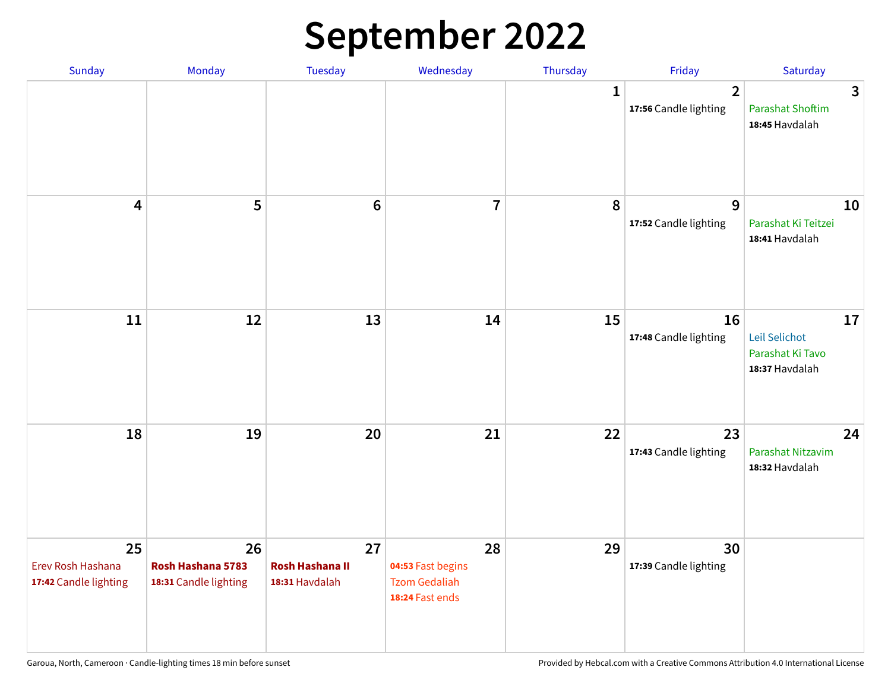## **September 2022**

| Sunday                                           | Monday                                           | Tuesday                                        | Wednesday                                                          | Thursday     | Friday                                  | Saturday                                                  |
|--------------------------------------------------|--------------------------------------------------|------------------------------------------------|--------------------------------------------------------------------|--------------|-----------------------------------------|-----------------------------------------------------------|
|                                                  |                                                  |                                                |                                                                    | $\mathbf{1}$ | $\overline{2}$<br>17:56 Candle lighting | 3<br><b>Parashat Shoftim</b><br>18:45 Havdalah            |
| $\overline{\mathbf{4}}$                          | 5                                                | $6\phantom{1}6$                                | $\overline{7}$                                                     | 8            | 9<br>17:52 Candle lighting              | 10<br>Parashat Ki Teitzei<br>18:41 Havdalah               |
| 11                                               | 12                                               | 13                                             | 14                                                                 | 15           | 16<br>17:48 Candle lighting             | 17<br>Leil Selichot<br>Parashat Ki Tavo<br>18:37 Havdalah |
| 18                                               | 19                                               | 20                                             | 21                                                                 | 22           | 23<br>17:43 Candle lighting             | 24<br>Parashat Nitzavim<br>18:32 Havdalah                 |
| 25<br>Erev Rosh Hashana<br>17:42 Candle lighting | 26<br>Rosh Hashana 5783<br>18:31 Candle lighting | 27<br><b>Rosh Hashana II</b><br>18:31 Havdalah | 28<br>04:53 Fast begins<br><b>Tzom Gedaliah</b><br>18:24 Fast ends | 29           | 30<br>17:39 Candle lighting             |                                                           |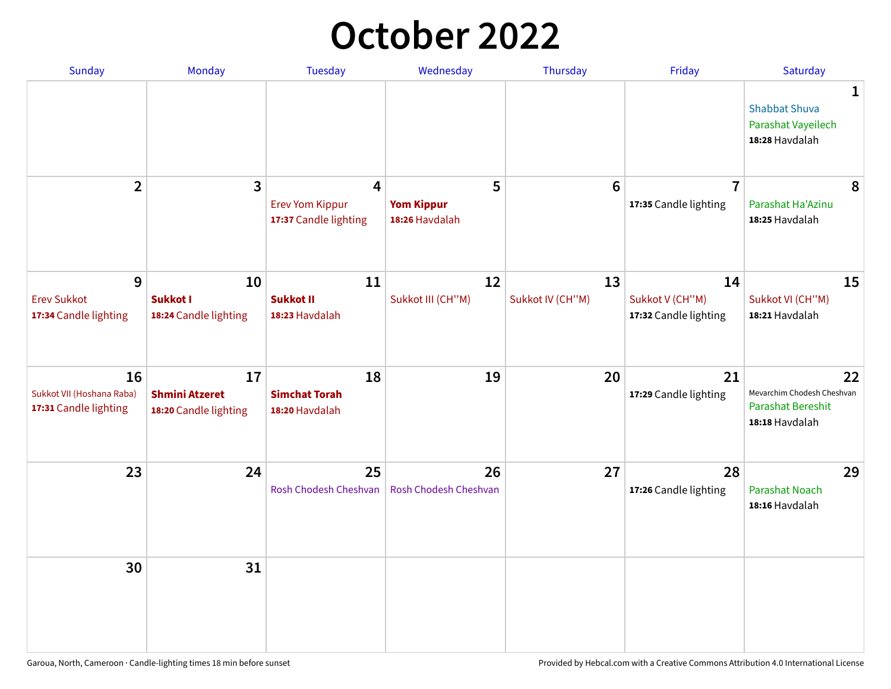## **October 2022**

| Sunday                                                   | Monday                                               | <b>Tuesday</b>                                                    | Wednesday                                | Thursday               | Friday                                         | Saturday                                                                |
|----------------------------------------------------------|------------------------------------------------------|-------------------------------------------------------------------|------------------------------------------|------------------------|------------------------------------------------|-------------------------------------------------------------------------|
|                                                          |                                                      |                                                                   |                                          |                        |                                                | 1<br><b>Shabbat Shuva</b><br>Parashat Vayeilech<br>18:28 Havdalah       |
| $\overline{2}$                                           | $\overline{\mathbf{3}}$                              | $\overline{4}$<br><b>Erev Yom Kippur</b><br>17:37 Candle lighting | 5<br><b>Yom Kippur</b><br>18:26 Havdalah | 6                      | $\overline{7}$<br>17:35 Candle lighting        | 8<br>Parashat Ha'Azinu<br>18:25 Havdalah                                |
| 9<br><b>Erev Sukkot</b><br>17:34 Candle lighting         | 10<br><b>Sukkot I</b><br>18:24 Candle lighting       | 11<br><b>Sukkot II</b><br>18:23 Havdalah                          | 12<br>Sukkot III (CH"M)                  | 13<br>Sukkot IV (CH"M) | 14<br>Sukkot V (CH"M)<br>17:32 Candle lighting | 15<br>Sukkot VI (CH"M)<br>18:21 Havdalah                                |
| 16<br>Sukkot VII (Hoshana Raba)<br>17:31 Candle lighting | 17<br><b>Shmini Atzeret</b><br>18:20 Candle lighting | 18<br><b>Simchat Torah</b><br>18:20 Havdalah                      | 19                                       | 20                     | 21<br>17:29 Candle lighting                    | 22<br>Mevarchim Chodesh Cheshvan<br>Parashat Bereshit<br>18:18 Havdalah |
| 23                                                       | 24                                                   | 25<br>Rosh Chodesh Cheshvan                                       | 26<br>Rosh Chodesh Cheshvan              | 27                     | 28<br>17:26 Candle lighting                    | 29<br><b>Parashat Noach</b><br>18:16 Havdalah                           |
| 30                                                       | 31                                                   |                                                                   |                                          |                        |                                                |                                                                         |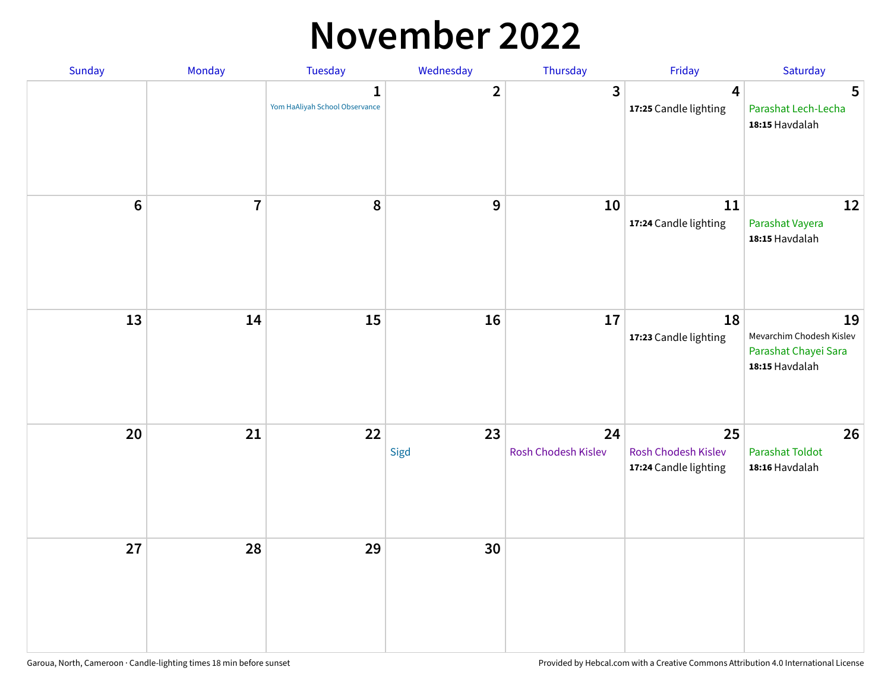#### **November 2022**

| Sunday  | Monday         | <b>Tuesday</b>                                 | Wednesday      | Thursday                  | Friday                                             | Saturday                                                                 |
|---------|----------------|------------------------------------------------|----------------|---------------------------|----------------------------------------------------|--------------------------------------------------------------------------|
|         |                | $\mathbf{1}$<br>Yom HaAliyah School Observance | $\overline{2}$ | 3                         | $\overline{\mathbf{4}}$<br>17:25 Candle lighting   | 5<br>Parashat Lech-Lecha<br>18:15 Havdalah                               |
| $\bf 6$ | $\overline{7}$ | 8                                              | $\mathbf 9$    | 10                        | 11<br>17:24 Candle lighting                        | 12<br>Parashat Vayera<br>18:15 Havdalah                                  |
| 13      | 14             | 15                                             | 16             | 17                        | 18<br>17:23 Candle lighting                        | 19<br>Mevarchim Chodesh Kislev<br>Parashat Chayei Sara<br>18:15 Havdalah |
| 20      | 21             | 22                                             | 23<br>Sigd     | 24<br>Rosh Chodesh Kislev | 25<br>Rosh Chodesh Kislev<br>17:24 Candle lighting | 26<br><b>Parashat Toldot</b><br>18:16 Havdalah                           |
| 27      | 28             | 29                                             | 30             |                           |                                                    |                                                                          |